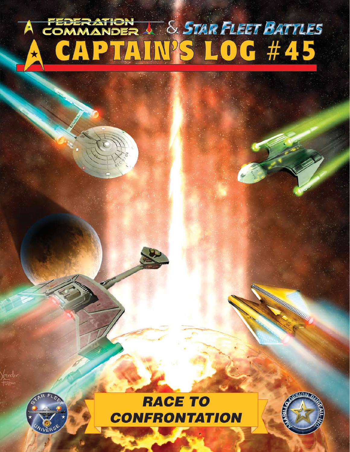# FEDERATION & STAR FLEET BATTLES CAPTAIN'S LOG #45  $\star$



kander<br>Futum

**RACE TO CONFRONTATION** 

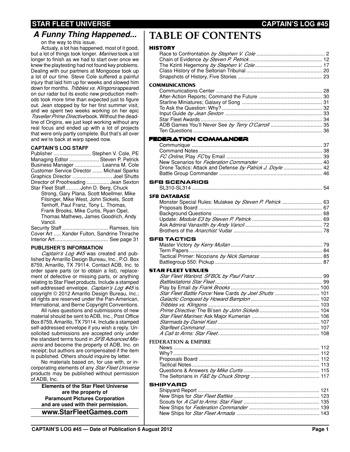## **STAR FLEET UNIVERSE CAPTAIN'S LOG #45**

on the way to this issue.

Actualy, a lot has happened, most of it good, but a lot of things took longer. *Marines* took a lot longer to finish as we had to start over once we knew the playtesting had not found key problems. Dealing with our partners at Mongoose took up a lot of our time. Steve Cole suffered a painful injury that laid him up for weeks and slowed him down for months. *Tribbles vs. Klingons* appeared on our radar but its exotic new production methods took more time than expected just to figure out. Jean stopped by for her first summer visit, and we spent two weeks working on her epic *Traveller Prime Directive* book. Without the deadline of Origins, we just kept working without any real focus and ended up with a lot of projects that were only partly complete. But that's all over and we're back at warp speed now.

#### **CAPTAIN'S LOG STAFF**

| Publisher  Stephen V. Cole, PE            |  |
|-------------------------------------------|--|
| Managing Editor  Steven P. Petrick        |  |
| Business Manager  Leanna M. Cole          |  |
| Customer Service Director  Michael Sparks |  |
|                                           |  |
| Director of Proofreading  Jean Sexton     |  |
| Star Fleet StaffJohn D. Berg, Chuck       |  |

Strong, Gary Plana, Scott Moellmer, Mike Filsinger, Mike West, John Sickels, Scott Tenhoff, Paul Franz, Tony L. Thomas, Frank Brooks, Mike Curtis, Ryan Opel, Thomas Mathews, James Goodrich, Andy Vancil.

| Security Staff  Ramses, Isis                |  |
|---------------------------------------------|--|
| Cover Art  Xander Fulton, Sandrine Thirache |  |
|                                             |  |

#### **PUBLISHER'S INFORMATION**

*Captain's Log #45* was created and published by Amarillo Design Bureau, Inc., P.O. Box 8759, Amarillo, TX 79114. Contact ADB, Inc. to order spare parts (or to obtain a list), replacement of defective or missing parts, or anything relating to Star Fleet products. Include a stamped self-addressed envelope. *Captain's Log #45* is copyright © 2012 Amarillo Design Bureau, Inc.; all rights are reserved under the Pan-American, International, and Berne Copyright Conventions.

All rules questions and submissions of new material should be sent to ADB, Inc., Post Office Box 8759, Amarillo, TX 79114. Include a stamped self-addressed envelope if you wish a reply. Unsolicited submissions are accepted only under the standard terms found in *SFB Advanced Missions* and become the property of ADB, Inc. on receipt; but authors are compensated if the item is published. Others should inquire by letter.

No materials based on, for use with, or incorporating elements of any *Star Fleet Universe* products may be published without permission of ADB, Inc.

**Elements of the Star Fleet Universe are the property of Paramount Pictures Corporation and are used with their permission. www.StarFleetGames.com**

## **TABLE OF CONTENTS**

## HICTORY

| HISTORY                                                   |  |
|-----------------------------------------------------------|--|
|                                                           |  |
|                                                           |  |
|                                                           |  |
|                                                           |  |
|                                                           |  |
|                                                           |  |
| <b>COMMUNICATIONS</b>                                     |  |
|                                                           |  |
|                                                           |  |
|                                                           |  |
|                                                           |  |
|                                                           |  |
|                                                           |  |
|                                                           |  |
|                                                           |  |
|                                                           |  |
| FEDERATION COMMANDER                                      |  |
|                                                           |  |
|                                                           |  |
|                                                           |  |
|                                                           |  |
| Drone Tactics: Attack and Defense by Patrick J. Doyle  42 |  |
|                                                           |  |
|                                                           |  |
| <b>SFB SCENARIOS</b>                                      |  |
|                                                           |  |
| <b>SFB DATABASE</b>                                       |  |
|                                                           |  |
|                                                           |  |
|                                                           |  |
|                                                           |  |
|                                                           |  |
|                                                           |  |
|                                                           |  |
|                                                           |  |
|                                                           |  |
| SFB TACTICS                                               |  |
|                                                           |  |
|                                                           |  |
|                                                           |  |
|                                                           |  |
| STAR FLEET VENUES                                         |  |
|                                                           |  |
|                                                           |  |
|                                                           |  |
|                                                           |  |
| Star Fleet Battle Force: New Cards by Joel Shutts  101    |  |
|                                                           |  |
|                                                           |  |
|                                                           |  |
|                                                           |  |
|                                                           |  |
|                                                           |  |
|                                                           |  |
| <b>FEDERATION &amp; EMPIRE</b>                            |  |
|                                                           |  |
|                                                           |  |
|                                                           |  |
|                                                           |  |
|                                                           |  |
|                                                           |  |
|                                                           |  |
| SHIPYARD                                                  |  |
|                                                           |  |
|                                                           |  |
|                                                           |  |
|                                                           |  |
|                                                           |  |
|                                                           |  |